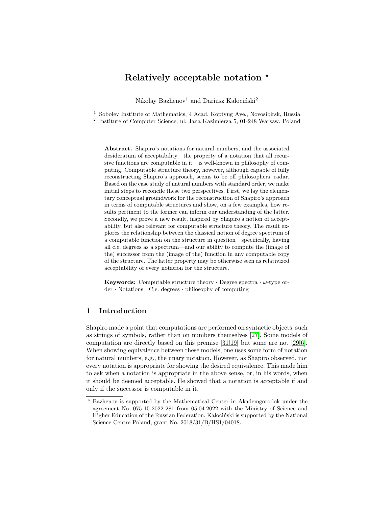# Relatively acceptable notation  $\star$

Nikolay Bazhenov<sup>1</sup> and Dariusz Kalociński<sup>2</sup>

<sup>1</sup> Sobolev Institute of Mathematics, 4 Acad. Koptyug Ave., Novosibirsk, Russia 2 Institute of Computer Science, ul. Jana Kazimierza 5, 01-248 Warsaw, Poland

Abstract. Shapiro's notations for natural numbers, and the associated desideratum of acceptability—the property of a notation that all recursive functions are computable in it—is well-known in philosophy of computing. Computable structure theory, however, although capable of fully reconstructing Shapiro's approach, seems to be off philosophers' radar. Based on the case study of natural numbers with standard order, we make initial steps to reconcile these two perspectives. First, we lay the elementary conceptual groundwork for the reconstruction of Shapiro's approach in terms of computable structures and show, on a few examples, how results pertinent to the former can inform our understanding of the latter. Secondly, we prove a new result, inspired by Shapiro's notion of acceptability, but also relevant for computable structure theory. The result explores the relationship between the classical notion of degree spectrum of a computable function on the structure in question—specifically, having all c.e. degrees as a spectrum—and our ability to compute the (image of the) successor from the (image of the) function in any computable copy of the structure. The latter property may be otherwise seen as relativized acceptability of every notation for the structure.

**Keywords:** Computable structure theory  $\cdot$  Degree spectra  $\cdot \omega$ -type order · Notations · C.e. degrees · philosophy of computing

## 1 Introduction

Shapiro made a point that computations are performed on syntactic objects, such as strings of symbols, rather than on numbers themselves [\[27\]](#page-13-0). Some models of computation are directly based on this premise [\[31](#page-13-1)[,19\]](#page-13-2) but some are not [\[29,](#page-13-3)[6\]](#page-12-0). When showing equivalence between these models, one uses some form of notation for natural numbers, e.g., the unary notation. However, as Shapiro observed, not every notation is appropriate for showing the desired equivalence. This made him to ask when a notation is appropriate in the above sense, or, in his words, when it should be deemed acceptable. He showed that a notation is acceptable if and only if the successor is computable in it.

<sup>⋆</sup> Bazhenov is supported by the Mathematical Center in Akademgorodok under the agreement No. 075-15-2022-281 from 05.04.2022 with the Ministry of Science and Higher Education of the Russian Federation. Kalociński is supported by the National Science Centre Poland, grant No. 2018/31/B/HS1/04018.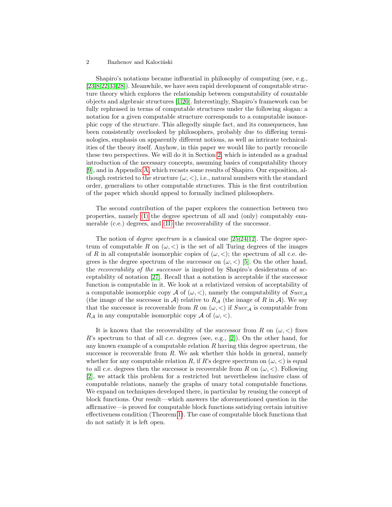Shapiro's notations became influential in philosophy of computing (see, e.g., [\[23](#page-13-4)[,8](#page-12-1)[,22,](#page-13-5)[33](#page-13-6)[,28\]](#page-13-7)). Meanwhile, we have seen rapid development of computable structure theory which explores the relationship between computability of countable objects and algebraic structures [\[1,](#page-12-2)[20\]](#page-13-8). Interestingly, Shapiro's framework can be fully rephrased in terms of computable structures under the following slogan: a notation for a given computable structure corresponds to a computable isomorphic copy of the structure. This allegedly simple fact, and its consequences, has been consistently overlooked by philosophers, probably due to differing terminologies, emphasis on apparently different notions, as well as intricate technicalities of the theory itself. Anyhow, in this paper we would like to partly reconcile these two perspectives. We will do it in Section [2,](#page-2-0) which is intended as a gradual introduction of the necessary concepts, assuming basics of computability theory [\[9\]](#page-12-3), and in Appendix [A,](#page-13-9) which recasts some results of Shapiro. Our exposition, although restricted to the structure  $(\omega, <)$ , i.e., natural numbers with the standard order, generalizes to other computable structures. This is the first contribution of the paper which should appeal to formally inclined philosophers.

The second contribution of the paper explores the connection between two properties, namely [\(I\)](#page-4-0) the degree spectrum of all and (only) computably enumerable (c.e.) degrees, and [\(II\)](#page-4-1) the recoverability of the successor.

The notion of *degree spectrum* is a classical one [\[25,](#page-13-10)[24](#page-13-11)[,12\]](#page-12-4). The degree spectrum of computable R on  $(\omega, <)$  is the set of all Turing degrees of the images of R in all computable isomorphic copies of  $(\omega, <)$ ; the spectrum of all c.e. degrees is the degree spectrum of the successor on  $(\omega, <)$  [\[5\]](#page-12-5). On the other hand, the recoverability of the successor is inspired by Shapiro's desideratum of acceptability of notation [\[27\]](#page-13-0). Recall that a notation is acceptable if the successor function is computable in it. We look at a relativized version of acceptability of a computable isomorphic copy A of  $(\omega, <)$ , namely the computability of  $Succ_A$ (the image of the successor in A) relative to  $R_A$  (the image of R in A). We say that the successor is recoverable from R on  $(\omega, <)$  if  $Succ_A$  is computable from  $R_A$  in any computable isomorphic copy A of  $(\omega, <)$ .

It is known that the recoverability of the successor from R on  $(\omega, <)$  fixes  $R$ 's spectrum to that of all c.e. degrees (see, e.g., [\[2\]](#page-12-6)). On the other hand, for any known example of a computable relation  $R$  having this degree spectrum, the successor is recoverable from  $R$ . We ask whether this holds in general, namely whether for any computable relation R, if R's degree spectrum on  $(\omega, <)$  is equal to all c.e. degrees then the successor is recoverable from R on  $(\omega, <)$ . Following [\[2\]](#page-12-6), we attack this problem for a restricted but nevertheless inclusive class of computable relations, namely the graphs of unary total computable functions. We expand on techniques developed there, in particular by reusing the concept of block functions. Our result—which answers the aforementioned question in the affirmative—is proved for computable block functions satisfying certain intuitive effectiveness condition (Theorem [1\)](#page-6-0). The case of computable block functions that do not satisfy it is left open.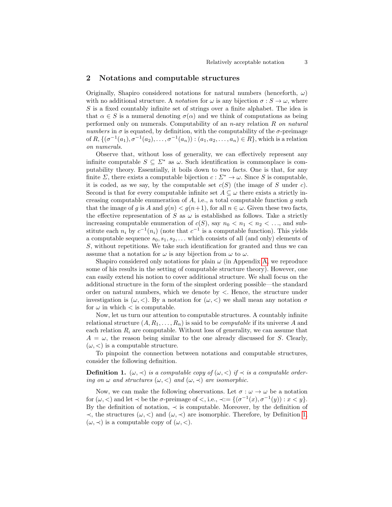## <span id="page-2-0"></span>2 Notations and computable structures

Originally, Shapiro considered notations for natural numbers (henceforth,  $\omega$ ) with no additional structure. A *notation* for  $\omega$  is any bijection  $\sigma : S \to \omega$ , where S is a fixed countably infinite set of strings over a finite alphabet. The idea is that  $\alpha \in S$  is a numeral denoting  $\sigma(\alpha)$  and we think of computations as being performed only on numerals. Computability of an  $n$ -ary relation  $R$  on natural numbers in  $\sigma$  is equated, by definition, with the computability of the  $\sigma$ -preimage of  $R, \{(\sigma^{-1}(a_1), \sigma^{-1}(a_2), \ldots, \sigma^{-1}(a_n)) : (a_1, a_2, \ldots, a_n) \in R\}$ , which is a relation on numerals.

Observe that, without loss of generality, we can effectively represent any infinite computable  $S \subseteq \Sigma^*$  as  $\omega$ . Such identification is commonplace is computability theory. Essentially, it boils down to two facts. One is that, for any finite  $\Sigma$ , there exists a computable bijection  $c : \Sigma^* \to \omega$ . Since S is computable, it is coded, as we say, by the computable set  $c(S)$  (the image of S under c). Second is that for every computable infinite set  $A \subseteq \omega$  there exists a strictly increasing computable enumeration of  $A$ , i.e., a total computable function  $g$  such that the image of g is A and  $g(n) < g(n+1)$ , for all  $n \in \omega$ . Given these two facts, the effective representation of S as  $\omega$  is established as follows. Take a strictly increasing computable enumeration of  $c(S)$ , say  $n_0 < n_1 < n_2 < \ldots$ , and substitute each  $n_i$  by  $c^{-1}(n_i)$  (note that  $c^{-1}$  is a computable function). This yields a computable sequence  $s_0, s_1, s_2, \ldots$  which consists of all (and only) elements of S, without repetitions. We take such identification for granted and thus we can assume that a notation for  $\omega$  is any bijection from  $\omega$  to  $\omega$ .

Shapiro considered only notations for plain  $\omega$  (in Appendix [A,](#page-13-9) we reproduce some of his results in the setting of computable structure theory). However, one can easily extend his notion to cover additional structure. We shall focus on the additional structure in the form of the simplest ordering possible—the standard order on natural numbers, which we denote by <. Hence, the structure under investigation is  $(\omega, <)$ . By a notation for  $(\omega, <)$  we shall mean any notation  $\sigma$ for  $\omega$  in which  $\langle$  is computable.

Now, let us turn our attention to computable structures. A countably infinite relational structure  $(A, R_1, \ldots, R_n)$  is said to be *computable* if its universe A and each relation  $R_i$  are computable. Without loss of generality, we can assume that  $A = \omega$ , the reason being similar to the one already discussed for S. Clearly,  $(\omega, <)$  is a computable structure.

<span id="page-2-1"></span>To pinpoint the connection between notations and computable structures, consider the following definition.

**Definition 1.**  $(\omega, \prec)$  is a computable copy of  $(\omega, \prec)$  if  $\prec$  is a computable ordering on  $\omega$  and structures  $(\omega, <)$  and  $(\omega, \prec)$  are isomorphic.

Now, we can make the following observations. Let  $\sigma : \omega \to \omega$  be a notation for  $(\omega, <)$  and let  $\prec$  be the  $\sigma$ -preimage of  $\prec$ , i.e.,  $\prec := \{(\sigma^{-1}(x), \sigma^{-1}(y)) : x < y\}.$ By the definition of notation,  $\prec$  is computable. Moreover, by the definition of  $\prec$ , the structures (ω,  $\prec$ ) and (ω,  $\prec$ ) are isomorphic. Therefore, by Definition [1,](#page-2-1)  $(\omega, \prec)$  is a computable copy of  $(\omega, \prec)$ .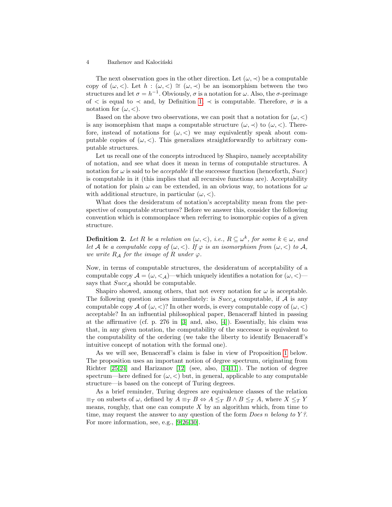The next observation goes in the other direction. Let  $(\omega, \prec)$  be a computable copy of  $(\omega, <)$ . Let  $h : (\omega, <) \cong (\omega, <)$  be an isomorphism between the two structures and let  $\sigma = h^{-1}$ . Obviously,  $\sigma$  is a notation for  $\omega$ . Also, the  $\sigma$ -preimage of  $\lt$  is equal to  $\lt$  and, by Definition [1,](#page-2-1)  $\lt$  is computable. Therefore,  $\sigma$  is a notation for  $(\omega, <)$ .

Based on the above two observations, we can posit that a notation for  $(\omega, <)$ is any isomorphism that maps a computable structure  $(\omega, \prec)$  to  $(\omega, \prec)$ . Therefore, instead of notations for  $(\omega, <)$  we may equivalently speak about computable copies of  $(\omega, \langle \rangle)$ . This generalizes straightforwardly to arbitrary computable structures.

Let us recall one of the concepts introduced by Shapiro, namely acceptability of notation, and see what does it mean in terms of computable structures. A notation for  $\omega$  is said to be *acceptable* if the successor function (henceforth,  $Succ$ ) is computable in it (this implies that all recursive functions are). Acceptability of notation for plain  $\omega$  can be extended, in an obvious way, to notations for  $\omega$ with additional structure, in particular  $(\omega, <)$ .

What does the desideratum of notation's acceptability mean from the perspective of computable structures? Before we answer this, consider the following convention which is commonplace when referring to isomorphic copies of a given structure.

**Definition 2.** Let R be a relation on  $(\omega, <)$ , i.e.,  $R \subseteq \omega^k$ , for some  $k \in \omega$ , and let A be a computable copy of  $(\omega, <)$ . If  $\varphi$  is an isomorphism from  $(\omega, <)$  to A, we write  $R_A$  for the image of R under  $\varphi$ .

Now, in terms of computable structures, the desideratum of acceptability of a computable copy  $\mathcal{A} = (\omega, \langle \rangle)$ —which uniquely identifies a notation for  $(\omega, \langle \rangle)$  says that  $Succ_A$  should be computable.

Shapiro showed, among others, that not every notation for  $\omega$  is acceptable. The following question arises immediately: is  $Succ_A$  computable, if A is any computable copy A of  $(\omega, <)$ ? In other words, is every computable copy of  $(\omega, <)$ acceptable? In an influential philosophical paper, Benaceraff hinted in passing at the affirmative (cf. p. 276 in  $[3]$  and, also,  $[4]$ ). Essentially, his claim was that, in any given notation, the computability of the successor is equivalent to the computability of the ordering (we take the liberty to identify Benaceraff's intuitive concept of notation with the formal one).

As we will see, Benaceraff's claim is false in view of Proposition [1](#page-4-2) below. The proposition uses an important notion of degree spectrum, originating from Richter  $[25,24]$  $[25,24]$  and Harizanov  $[12]$  (see, also,  $[14,11]$  $[14,11]$ ). The notion of degree spectrum—here defined for  $(\omega, <)$  but, in general, applicable to any computable structure—is based on the concept of Turing degrees.

<span id="page-3-0"></span>As a brief reminder, Turing degrees are equivalence classes of the relation  $\equiv_T$  on subsets of  $\omega$ , defined by  $A \equiv_T B \Leftrightarrow A \leq_T B \wedge B \leq_T A$ , where  $X \leq_T Y$ means, roughly, that one can compute  $X$  by an algorithm which, from time to time, may request the answer to any question of the form *Does n belong to Y?*. For more information, see, e.g., [\[9,](#page-12-3)[26,](#page-13-12)[30\]](#page-13-13).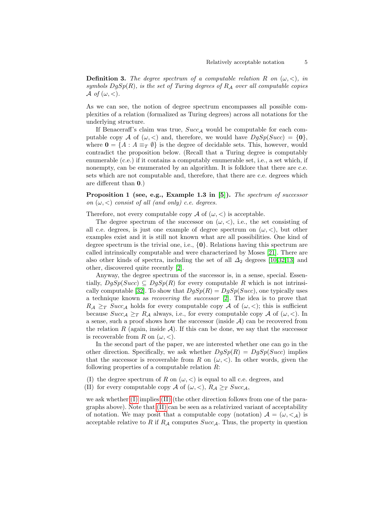**Definition 3.** The degree spectrum of a computable relation R on  $(\omega, <)$ , in symbols  $DgSp(R)$ , is the set of Turing degrees of  $R_A$  over all computable copies A of  $(\omega, <)$ .

As we can see, the notion of degree spectrum encompasses all possible complexities of a relation (formalized as Turing degrees) across all notations for the underlying structure.

If Benaceraff's claim was true,  $Succ_A$  would be computable for each computable copy A of  $(\omega, <)$  and, therefore, we would have  $DgSp(Succ) = \{0\},\$ where  $\mathbf{0} = \{A : A \equiv_T \emptyset\}$  is the degree of decidable sets. This, however, would contradict the proposition below. (Recall that a Turing degree is computably enumerable (c.e.) if it contains a computably enumerable set, i.e., a set which, if nonempty, can be enumerated by an algorithm. It is folklore that there are c.e. sets which are not computable and, therefore, that there are c.e. degrees which are different than 0.)

<span id="page-4-2"></span>Proposition 1 (see, e.g., Example 1.3 in [\[5\]](#page-12-5)). The spectrum of successor on  $(\omega, <)$  consist of all (and only) c.e. degrees.

Therefore, not every computable copy A of  $(\omega, <)$  is acceptable.

The degree spectrum of the successor on  $(\omega, <)$ , i.e., the set consisting of all c.e. degrees, is just one example of degree spectrum on  $(\omega, \langle),$  but other examples exist and it is still not known what are all possibilities. One kind of degree spectrum is the trivial one, i.e.,  $\{0\}$ . Relations having this spectrum are called intrinsically computable and were characterized by Moses [\[21\]](#page-13-14). There are also other kinds of spectra, including the set of all  $\Delta_2$  degrees [\[10,](#page-12-11)[32,](#page-13-15)[13\]](#page-12-12) and other, discovered quite recently [\[2\]](#page-12-6).

Anyway, the degree spectrum of the successor is, in a sense, special. Essentially,  $DqSp(Succ) \subseteq DqSp(R)$  for every computable R which is not intrinsi-cally computable [\[32\]](#page-13-15). To show that  $DgSp(R) = DgSp(Succ)$ , one typically uses a technique known as recovering the successor [\[2\]](#page-12-6). The idea is to prove that  $R_{\mathcal{A}} \geq_T Succ_{\mathcal{A}}$  holds for every computable copy  $\mathcal{A}$  of  $(\omega, <)$ ; this is sufficient because  $Succ_{\mathcal{A}} \geq_T R_{\mathcal{A}}$  always, i.e., for every computable copy  $\mathcal{A}$  of  $(\omega, <)$ . In a sense, such a proof shows how the successor (inside  $A$ ) can be recovered from the relation R (again, inside  $\mathcal{A}$ ). If this can be done, we say that the successor is recoverable from R on  $(\omega, <)$ .

In the second part of the paper, we are interested whether one can go in the other direction. Specifically, we ask whether  $DgSp(R) = DgSp(Succ)$  implies that the successor is recoverable from R on  $(\omega, \langle \rangle)$ . In other words, given the following properties of a computable relation  $R$ :

- <span id="page-4-0"></span>(I) the degree spectrum of R on  $(\omega, <)$  is equal to all c.e. degrees, and
- <span id="page-4-1"></span>(II) for every computable copy A of  $(\omega, <)$ ,  $R_{\mathcal{A}} \geq_T Succ_{\mathcal{A}}$ ,

we ask whether [\(I\)](#page-4-0) implies [\(II\)](#page-4-1) (the other direction follows from one of the paragraphs above). Note that [\(II\)](#page-4-1) can be seen as a relativized variant of acceptability of notation. We may posit that a computable copy (notation)  $A = (\omega, \langle A \rangle)$  is acceptable relative to R if  $R_A$  computes  $Succ_A$ . Thus, the property in question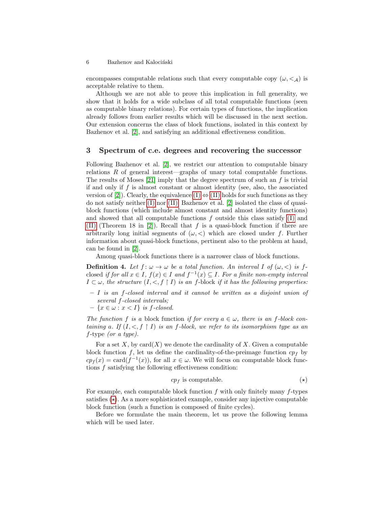encompasses computable relations such that every computable copy  $(\omega, \langle \lambda \rangle)$  is acceptable relative to them.

Although we are not able to prove this implication in full generality, we show that it holds for a wide subclass of all total computable functions (seen as computable binary relations). For certain types of functions, the implication already follows from earlier results which will be discussed in the next section. Our extension concerns the class of block functions, isolated in this context by Bazhenov et al. [\[2\]](#page-12-6), and satisfying an additional effectiveness condition.

### 3 Spectrum of c.e. degrees and recovering the successor

Following Bazhenov et al. [\[2\]](#page-12-6), we restrict our attention to computable binary relations R of general interest—graphs of unary total computable functions. The results of Moses [\[21\]](#page-13-14) imply that the degree spectrum of such an  $f$  is trivial if and only if  $f$  is almost constant or almost identity (see, also, the associated version of [\[2\]](#page-12-6)). Clearly, the equivalence [\(I\)](#page-4-0)  $\Leftrightarrow$  [\(II\)](#page-4-1) holds for such functions as they do not satisfy neither [\(I\)](#page-4-0) nor [\(II\).](#page-4-1) Bazhenov et al. [\[2\]](#page-12-6) isolated the class of quasiblock functions (which include almost constant and almost identity functions) and showed that all computable functions  $f$  outside this class satisfy  $(I)$  and [\(II\)](#page-4-1) (Theorem 18 in [\[2\]](#page-12-6)). Recall that f is a quasi-block function if there are arbitrarily long initial segments of  $(\omega, <)$  which are closed under f. Further information about quasi-block functions, pertinent also to the problem at hand, can be found in [\[2\]](#page-12-6).

Among quasi-block functions there is a narrower class of block functions.

**Definition 4.** Let  $f: \omega \to \omega$  be a total function. An interval I of  $(\omega, <)$  is fclosed if for all  $x \in I$ ,  $f(x) \in I$  and  $f^{-1}(x) \subseteq I$ . For a finite non-empty interval  $I \subset \omega$ , the structure  $(I, \langle , f | I \rangle)$  is an f-block if it has the following properties:

- $I$  is an f-closed interval and it cannot be written as a disjoint union of several f-closed intervals;
- $\{x \in \omega : x < I\}$  is f-closed.

The function f is a block function if for every  $a \in \omega$ , there is an f-block containing a. If  $(I, \langle , f | I \rangle)$  is an f-block, we refer to its isomorphism type as an f-type (or a type).

For a set X, by card $(X)$  we denote the cardinality of X. Given a computable block function f, let us define the cardinality-of-the-preimage function  $cp<sub>f</sub>$  by  $c p_f(x) = \text{card}(f^{-1}(x))$ , for all  $x \in \omega$ . We will focus on computable block functions f satisfying the following effectiveness condition:

<span id="page-5-1"></span><span id="page-5-0"></span>
$$
cp_f \text{ is computable.} \tag{\star}
$$

For example, each computable block function f with only finitely many f-types satisfies  $(\star)$ . As a more sophisticated example, consider any injective computable block function (such a function is composed of finite cycles).

Before we formulate the main theorem, let us prove the following lemma which will be used later.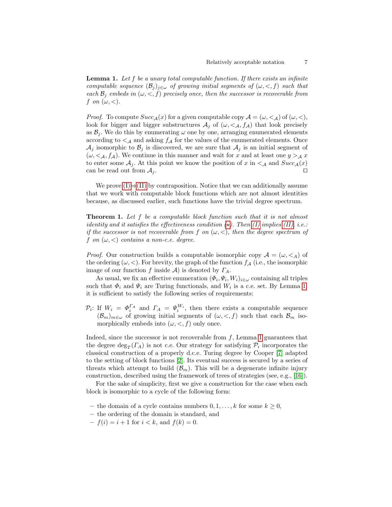**Lemma 1.** Let f be a unary total computable function. If there exists an infinite computable sequence  $(\mathcal{B}_j)_{j\in\omega}$  of growing initial segments of  $(\omega, <, f)$  such that each  $\mathcal{B}_j$  embeds in  $(\omega, <, f)$  precisely once, then the successor is recoverable from f on  $(\omega, <)$ .

*Proof.* To compute  $Succ_{\mathcal{A}}(x)$  for a given computable copy  $\mathcal{A} = (\omega, \langle \rangle)$  of  $(\omega, \langle \rangle)$ , look for bigger and bigger substructures  $A_j$  of  $(\omega, \langle A, f_A \rangle)$  that look precisely as  $\mathcal{B}_j$ . We do this by enumerating  $\omega$  one by one, arranging enumerated elements according to  $\lt_A$  and asking  $f_A$  for the values of the enumerated elements. Once  $\mathcal{A}_j$  isomorphic to  $\mathcal{B}_j$  is discovered, we are sure that  $\mathcal{A}_j$  is an initial segment of  $(\omega, \langle A, f_A \rangle)$ . We continue in this manner and wait for x and at least one  $y >_{\mathcal{A}} x$ to enter some  $A_j$ . At this point we know the position of x in  $\lt_A$  and  $Succ_A(x)$ can be read out from  $A_j$ . □

We prove  $(I) \Rightarrow (II)$  $(I) \Rightarrow (II)$  by contraposition. Notice that we can additionally assume that we work with computable block functions which are not almost identities because, as discussed earlier, such functions have the trivial degree spectrum.

<span id="page-6-0"></span>**Theorem 1.** Let f be a computable block function such that it is not almost identity and it satisfies the effectiveness condition  $(\star)$ . Then [\(I\)](#page-4-0) implies [\(II\),](#page-4-1) i.e.: if the successor is not recoverable from f on  $(\omega, <)$ , then the degree spectrum of f on  $(\omega, <)$  contains a non-c.e. degree.

*Proof.* Our construction builds a computable isomorphic copy  $\mathcal{A} = (\omega, \langle A \rangle)$  of the ordering  $(\omega, <)$ . For brevity, the graph of the function  $f_A$  (i.e., the isomorphic image of our function f inside A) is denoted by  $\Gamma_A$ .

As usual, we fix an effective enumeration  $(\Phi_i, \Psi_i, W_i)_{i \in \omega}$  containing all triples such that  $\Phi_i$  and  $\Psi_i$  are Turing functionals, and  $W_i$  is a c.e. set. By Lemma [1,](#page-5-1) it is sufficient to satisfy the following series of requirements:

 $\mathcal{P}_i$ : If  $W_i = \Phi_i^{\Gamma_A}$  and  $\Gamma_A = \Psi_i^{W_i}$ , then there exists a computable sequence  $(\mathcal{B}_m)_{m\in\omega}$  of growing initial segments of  $(\omega, \langle , f \rangle)$  such that each  $\mathcal{B}_m$  isomorphically embeds into  $(\omega, <, f)$  only once.

Indeed, since the successor is not recoverable from  $f$ , Lemma [1](#page-5-1) guarantees that the degree  $\deg_T(\Gamma_A)$  is not c.e. Our strategy for satisfying  $\mathcal{P}_i$  incorporates the classical construction of a properly d.c.e. Turing degree by Cooper [\[7\]](#page-12-13) adapted to the setting of block functions [\[2\]](#page-12-6). Its eventual success is secured by a series of threats which attempt to build  $(\mathcal{B}_m)$ . This will be a degenerate infinite injury construction, described using the framework of trees of strategies (see, e.g., [\[16\]](#page-12-14)).

For the sake of simplicity, first we give a construction for the case when each block is isomorphic to a cycle of the following form:

- the domain of a cycle contains numbers  $0, 1, \ldots, k$  for some  $k \geq 0$ ,
- the ordering of the domain is standard, and
- $-f(i) = i + 1$  for  $i < k$ , and  $f(k) = 0$ .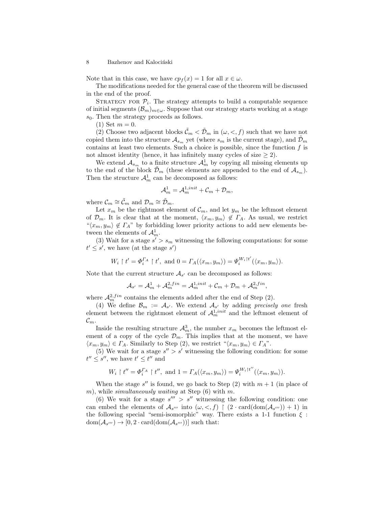Note that in this case, we have  $cp_f(x) = 1$  for all  $x \in \omega$ .

The modifications needed for the general case of the theorem will be discussed in the end of the proof.

STRATEGY FOR  $P_i$ . The strategy attempts to build a computable sequence of initial segments  $(\mathcal{B}_m)_{m\in\omega}$ . Suppose that our strategy starts working at a stage  $s_0$ . Then the strategy proceeds as follows.

 $(1)$  Set  $m = 0$ .

(2) Choose two adjacent blocks  $\tilde{\mathcal{C}}_m < \tilde{\mathcal{D}}_m$  in  $(\omega, \langle , f \rangle)$  such that we have not copied them into the structure  $\mathcal{A}_{s_m}$  yet (where  $s_m$  is the current stage), and  $\mathcal{D}_m$ contains at least two elements. Such a choice is possible, since the function  $f$  is not almost identity (hence, it has infinitely many cycles of size  $\geq 2$ ).

We extend  $\mathcal{A}_{s_m}$  to a finite structure  $\mathcal{A}_m^1$  by copying all missing elements up to the end of the block  $\mathcal{D}_m$  (these elements are appended to the end of  $\mathcal{A}_{s_m}$ ). Then the structure  $\mathcal{A}_m^1$  can be decomposed as follows:

$$
\mathcal{A}_{m}^{1} = \mathcal{A}_{m}^{1,init} + \mathcal{C}_{m} + \mathcal{D}_{m},
$$

where  $\mathcal{C}_m \cong \tilde{\mathcal{C}}_m$  and  $\mathcal{D}_m \cong \tilde{\mathcal{D}}_m$ .

Let  $x_m$  be the rightmost element of  $\mathcal{C}_m$ , and let  $y_m$  be the leftmost element of  $\mathcal{D}_m$ . It is clear that at the moment,  $\langle x_m, y_m \rangle \notin \Gamma_A$ . As usual, we restrict  $\langle x_m, y_m \rangle \notin \Gamma_A$ " by forbidding lower priority actions to add new elements between the elements of  $\mathcal{A}_m^1$ .

(3) Wait for a stage  $s' > s_m$  witnessing the following computations: for some  $t' \leq s'$ , we have (at the stage s')

$$
W_i \restriction t' = \varPhi_i^{\varGamma_A} \restriction t', \text{ and } 0 = \varGamma_A(\langle x_m, y_m \rangle) = \varPsi_i^{W_i \restriction t'}(\langle x_m, y_m \rangle).
$$

Note that the current structure  $A_{s'}$  can be decomposed as follows:

$$
\mathcal{A}_{s'} = \mathcal{A}_m^1 + \mathcal{A}_m^{2, fin} = \mathcal{A}_m^{1, init} + \mathcal{C}_m + \mathcal{D}_m + \mathcal{A}_m^{2, fin},
$$

where  $\mathcal{A}_m^{2,fin}$  contains the elements added after the end of Step (2).

(4) We define  $\mathcal{B}_m := \mathcal{A}_{s'}$ . We extend  $\mathcal{A}_{s'}$  by adding precisely one fresh element between the rightmost element of  $\mathcal{A}_{m}^{1,init}$  and the leftmost element of  $\mathcal{C}_m$ .

Inside the resulting structure  $\mathcal{A}_m^3$ , the number  $x_m$  becomes the leftmost element of a copy of the cycle  $\mathcal{D}_m$ . This implies that at the moment, we have  $\langle x_m, y_m \rangle \in \Gamma_A$ . Similarly to Step (2), we restrict  $\langle x_m, y_m \rangle \in \Gamma_A$ ".

(5) We wait for a stage  $s'' > s'$  witnessing the following condition: for some  $t'' \leq s''$ , we have  $t' \leq t''$  and

$$
W_i\restriction t''=\varPhi_i^{I_A}\restriction t'',\text{ and }1=I_A(\langle x_m,y_m\rangle)=\varPsi_i^{W_i\restriction t''}(\langle x_m,y_m\rangle).
$$

When the stage  $s''$  is found, we go back to Step  $(2)$  with  $m + 1$  (in place of m), while *simultaneously waiting* at Step  $(6)$  with m.

(6) We wait for a stage  $s''' > s''$  witnessing the following condition: one can embed the elements of  $\mathcal{A}_{s'''}$  into  $(\omega, <, f)$  |  $(2 \cdot \text{card}(\text{dom}(\mathcal{A}_{s''})) + 1)$  in the following special "semi-isomorphic" way. There exists a 1-1 function  $\xi$ :  $dom(\mathcal{A}_{s''}) \to [0, 2 \cdot card(dom(\mathcal{A}_{s''}))]$  such that: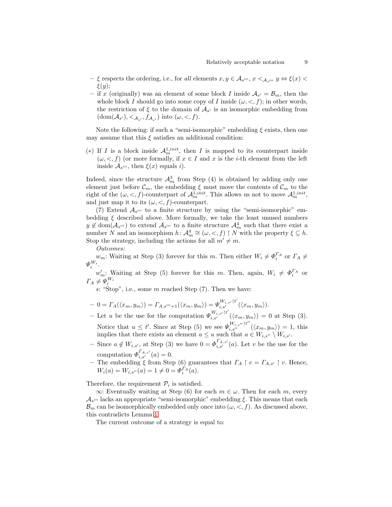- $-$  ξ respects the ordering, i.e., for all elements  $x, y \in A_{s''}, x <_{A_{s''}} y \Leftrightarrow \xi(x)$  $\xi(y);$
- if x (originally) was an element of some block I inside  $A_{s'} = B_m$ , then the whole block I should go into some copy of I inside  $(\omega, \langle , f \rangle)$ ; in other words, the restriction of  $\xi$  to the domain of  $\mathcal{A}_{s'}$  is an isomorphic embedding from  $(\text{dom}(\mathcal{A}_{s'}), \langle \mathcal{A}_{s'}, f_{\mathcal{A}_{s'}})$  into  $(\omega, \langle f \rangle)$ .

Note the following: if such a "semi-isomorphic" embedding  $\xi$  exists, then one may assume that this  $\xi$  satisfies an additional condition:

(\*) If I is a block inside  $\mathcal{A}_m^{1,init}$ , then I is mapped to its counterpart inside  $(\omega, \langle , f \rangle)$  (or more formally, if  $x \in I$  and x is the *i*-th element from the left inside  $\mathcal{A}_{s'''}$ , then  $\xi(x)$  equals *i*).

Indeed, since the structure  $\mathcal{A}_m^3$  from Step (4) is obtained by adding only one element just before  $\mathcal{C}_m$ , the embedding  $\xi$  must move the contents of  $\mathcal{C}_m$  to the right of the  $(\omega, <, f)$ -counterpart of  $\mathcal{A}_m^{1, init}$ . This allows us not to move  $\mathcal{A}_m^{1, init}$ , and just map it to its  $(\omega, <, f)$ -counterpart.

(7) Extend  $A_{s^{\prime\prime\prime}}$  to a finite structure by using the "semi-isomorphic" embedding  $\xi$  described above. More formally, we take the least unused numbers  $y \notin \text{dom}(\mathcal{A}_{s'''})$  to extend  $\mathcal{A}_{s'''}$  to a finite structure  $\mathcal{A}_m^4$  such that there exist a number N and an isomorphism  $h: \mathcal{A}_m^4 \cong (\omega, <, f) \upharpoonright N$  with the property  $\xi \subseteq h$ . Stop the strategy, including the actions for all  $m' \neq m$ .

Outcomes:

 $w_m$ : Waiting at Step (3) forever for this m. Then either  $W_i \neq \Phi_i^{\Gamma_A}$  or  $\Gamma_A \neq$  $\varPsi_i^{W_i}.$ 

 $w'_m$ : Waiting at Step (5) forever for this m. Then, again,  $W_i \neq \Phi_i^{T_A}$  or  $\Gamma_A \neq \Psi_i^{W_i}$ 

s: "Stop", i.e., some  $m$  reached Step  $(7)$ . Then we have:

- $0 = \Gamma_A(\langle x_m, y_m \rangle) = \Gamma_{A, s'''+1}(\langle x_m, y_m \rangle) = \Psi_{i, s'}^{W_{i, s'}} \mathfrak{h}^{t'}(\langle x_m, y_m \rangle).$
- Let u be the use for the computation  $\Psi_{i,s'}^{W_{i,s'}\dagger t'}(\langle x_m, y_m \rangle) = 0$  at Step (3). Notice that  $u \leq t'$ . Since at Step (5) we see  $\Psi_{i,s''}^{W_{i,s''}/t''}(\langle x_m, y_m \rangle) = 1$ , this implies that there exists an element  $a \leq u$  such that  $a \in W_{i,s''} \setminus W_{i,s'}$ .
- Since  $a \notin W_{i,s'}$ , at Step (3) we have  $0 = \Phi_{i,s'}^{r_{A,s'}}(a)$ . Let v be the use for the computation  $\Phi_{i,s'}^{r_{A,s'}}(a) = 0.$
- The embedding  $\xi$  from Step (6) guarantees that  $\Gamma_A \restriction v = \Gamma_{A,s'} \restriction v$ . Hence,  $W_i(a) = W_{i,s''}(a) = 1 \neq 0 = \Phi_i^{r_A}(a).$

Therefore, the requirement  $\mathcal{P}_i$  is satisfied.

 $\infty$ : Eventually waiting at Step (6) for each  $m \in \omega$ . Then for each m, every  $\mathcal{A}_{s^{\prime\prime\prime}}$  lacks an appropriate "semi-isomorphic" embedding  $\xi$ . This means that each  $\mathcal{B}_m$  can be isomorphically embedded only once into  $(\omega, <, f)$ . As discussed above, this contradicts Lemma [1.](#page-5-1)

The current outcome of a strategy is equal to: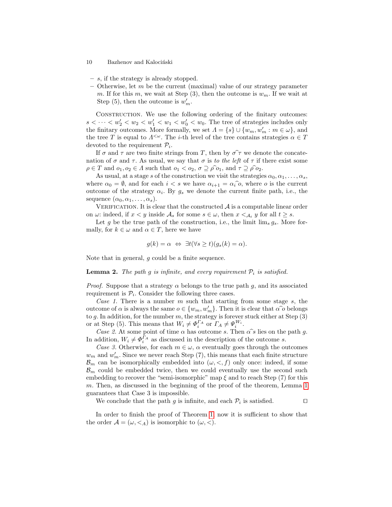- 10 Bazhenov and Kalociński
- s, if the strategy is already stopped.
- Otherwise, let  $m$  be the current (maximal) value of our strategy parameter m. If for this m, we wait at Step  $(3)$ , then the outcome is  $w_m$ . If we wait at Step (5), then the outcome is  $w'_m$ .

CONSTRUCTION. We use the following ordering of the finitary outcomes:  $s < \cdots < w_2' < w_2 < w_1' < w_1 < w_0' < w_0$ . The tree of strategies includes only the finitary outcomes. More formally, we set  $\Lambda = \{s\} \cup \{w_m, w'_m : m \in \omega\}$ , and the tree T is equal to  $\Lambda^{\leq \omega}$ . The *i*-th level of the tree contains strategies  $\alpha \in T$ devoted to the requirement  $\mathcal{P}_i$ .

If  $\sigma$  and  $\tau$  are two finite strings from T, then by  $\sigma \hat{\tau}$  we denote the concatenation of  $\sigma$  and  $\tau$ . As usual, we say that  $\sigma$  is to the left of  $\tau$  if there exist some  $\rho \in T$  and  $o_1, o_2 \in \Lambda$  such that  $o_1 < o_2$ ,  $\sigma \supseteq \rho \widehat{\rho} o_1$ , and  $\tau \supseteq \rho \widehat{\rho} o_2$ .

As usual, at a stage s of the construction we visit the strategies  $\alpha_0, \alpha_1, \ldots, \alpha_s$ , where  $\alpha_0 = \emptyset$ , and for each  $i < s$  we have  $\alpha_{i+1} = \alpha_i \hat{o}$ , where o is the current outcome of the strategy  $\alpha_i$ . By  $g_s$  we denote the current finite path, i.e., the sequence  $(\alpha_0, \alpha_1, \ldots, \alpha_s)$ .

VERIFICATION. It is clear that the constructed  $A$  is a computable linear order on  $\omega$ : indeed, if  $x < y$  inside  $\mathcal{A}_s$  for some  $s \in \omega$ , then  $x <_{\mathcal{A}_t} y$  for all  $t \geq s$ .

Let g be the true path of the construction, i.e., the limit  $\lim_{s} g_s$ . More formally, for  $k \in \omega$  and  $\alpha \in T$ , here we have

$$
g(k) = \alpha \Leftrightarrow \exists t (\forall s \ge t)(g_s(k) = \alpha).
$$

<span id="page-9-0"></span>Note that in general, g could be a finite sequence.

**Lemma 2.** The path g is infinite, and every requirement  $P_i$  is satisfied.

*Proof.* Suppose that a strategy  $\alpha$  belongs to the true path g, and its associated requirement is  $P_i$ . Consider the following three cases.

Case 1. There is a number  $m$  such that starting from some stage  $s$ , the outcome of α is always the same  $o ∈ \{w_m, w'_m\}$ . Then it is clear that α<sup> $\hat{o}$ </sup> belongs to a In addition for the number m, the strategy is forever stuck either at Step (3) to  $g$ . In addition, for the number  $m$ , the strategy is forever stuck either at Step  $(3)$ or at Step (5). This means that  $W_i \neq \Phi_i^{\Gamma_A}$  or  $\Gamma_A \neq \Psi_i^{W_i}$ .

Case 2. At some point of time  $\alpha$  has outcome s. Then  $\alpha \hat{\ }$  ies on the path g. In addition,  $W_i \neq \Phi_i^{\Gamma_A}$  as discussed in the description of the outcome s.

Case 3. Otherwise, for each  $m \in \omega$ ,  $\alpha$  eventually goes through the outcomes  $w_m$  and  $w'_m$ . Since we never reach Step (7), this means that each finite structure  $\mathcal{B}_m$  can be isomorphically embedded into  $(\omega, \langle, f \rangle)$  only once: indeed, if some  $\mathcal{B}_m$  could be embedded twice, then we could eventually use the second such embedding to recover the "semi-isomorphic" map  $\xi$  and to reach Step (7) for this m. Then, as discussed in the beginning of the proof of the theorem, Lemma [1](#page-5-1) guarantees that Case 3 is impossible.

We conclude that the path g is infinite, and each  $\mathcal{P}_i$  is satisfied.  $\Box$ 

In order to finish the proof of Theorem [1,](#page-6-0) now it is sufficient to show that the order  $\mathcal{A} = (\omega, \langle A \rangle)$  is isomorphic to  $(\omega, \langle \rangle)$ .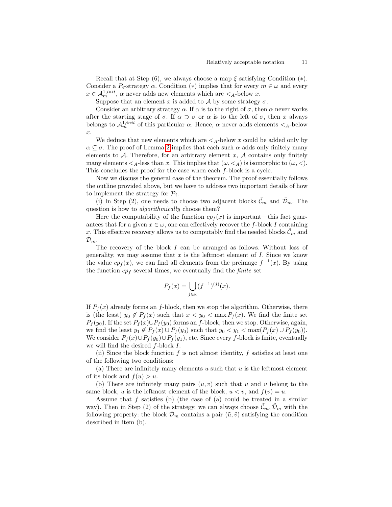Recall that at Step  $(6)$ , we always choose a map  $\xi$  satisfying Condition  $(*)$ . Consider a  $P_i$ -strategy  $\alpha$ . Condition (\*) implies that for every  $m \in \omega$  and every  $x \in \mathcal{A}_{m}^{1, init}$ ,  $\alpha$  never adds new elements which are  $\lt_{A}$ -below x.

Suppose that an element x is added to A by some strategy  $\sigma$ .

Consider an arbitrary strategy  $\alpha$ . If  $\alpha$  is to the right of  $\sigma$ , then  $\alpha$  never works after the starting stage of  $\sigma$ . If  $\alpha \supset \sigma$  or  $\alpha$  is to the left of  $\sigma$ , then x always belongs to  $\mathcal{A}_m^{1,init}$  of this particular  $\alpha$ . Hence,  $\alpha$  never adds elements  $\lt_A$ -below x.

We deduce that new elements which are  $\lt_A$ -below x could be added only by  $\alpha \subseteq \sigma$ . The proof of Lemma [2](#page-9-0) implies that each such  $\alpha$  adds only finitely many elements to  $A$ . Therefore, for an arbitrary element  $x$ ,  $A$  contains only finitely many elements  $\langle A_1 \rangle$ -less than x. This implies that  $(\omega, \langle A \rangle)$  is isomorphic to  $(\omega, \langle A \rangle)$ . This concludes the proof for the case when each f-block is a cycle.

Now we discuss the general case of the theorem. The proof essentially follows the outline provided above, but we have to address two important details of how to implement the strategy for  $\mathcal{P}_i$ .

(i) In Step (2), one needs to choose two adjacent blocks  $\tilde{\mathcal{C}}_m$  and  $\tilde{\mathcal{D}}_m$ . The question is how to *algorithmically* choose them?

Here the computability of the function  $cp_f(x)$  is important—this fact guarantees that for a given  $x \in \omega$ , one can effectively recover the f-block I containing x. This effective recovery allows us to computably find the needed blocks  $\tilde{\mathcal{C}}_m$  and  $\mathcal{D}_m.$ 

The recovery of the block I can be arranged as follows. Without loss of generality, we may assume that x is the leftmost element of  $I$ . Since we know the value  $cp<sub>f</sub>(x)$ , we can find all elements from the preimage  $f<sup>-1</sup>(x)$ . By using the function  $cp<sub>f</sub>$  several times, we eventually find the *finite* set

$$
P_f(x) = \bigcup_{j \in \omega} (f^{-1})^{(j)}(x).
$$

If  $P_f(x)$  already forms an f-block, then we stop the algorithm. Otherwise, there is (the least)  $y_0 \notin P_f(x)$  such that  $x < y_0 < \max P_f(x)$ . We find the finite set  $P_f(y_0)$ . If the set  $P_f(x) \cup P_f(y_0)$  forms an f-block, then we stop. Otherwise, again, we find the least  $y_1 \notin P_f(x) \cup P_f(y_0)$  such that  $y_0 < y_1 < \max(P_f(x) \cup P_f(y_0))$ . We consider  $P_f(x) \cup P_f(y_0) \cup P_f(y_1)$ , etc. Since every f-block is finite, eventually we will find the desired  $f$ -block  $I$ .

(ii) Since the block function f is not almost identity, f satisfies at least one of the following two conditions:

(a) There are infinitely many elements  $u$  such that  $u$  is the leftmost element of its block and  $f(u) > u$ .

(b) There are infinitely many pairs  $(u, v)$  such that u and v belong to the same block, u is the leftmost element of the block,  $u < v$ , and  $f(v) = u$ .

Assume that  $f$  satisfies (b) (the case of (a) could be treated in a similar way). Then in Step (2) of the strategy, we can always choose  $\mathcal{C}_m, \mathcal{D}_m$  with the following property: the block  $\mathcal{D}_m$  contains a pair  $(\tilde{u}, \tilde{v})$  satisfying the condition described in item (b).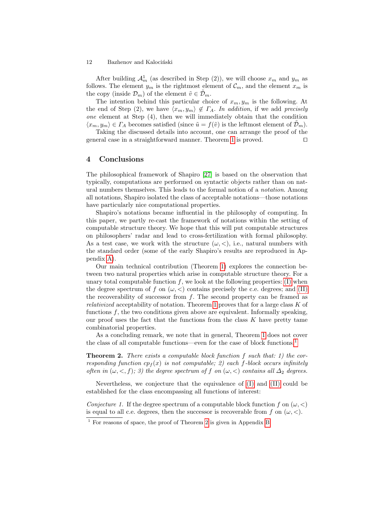After building  $\mathcal{A}_m^1$  (as described in Step (2)), we will choose  $x_m$  and  $y_m$  as follows. The element  $y_m$  is the rightmost element of  $\mathcal{C}_m$ , and the element  $x_m$  is the copy (inside  $\mathcal{D}_m$ ) of the element  $\tilde{v} \in \mathcal{D}_m$ .

The intention behind this particular choice of  $x_m, y_m$  is the following. At the end of Step (2), we have  $\langle x_m, y_m \rangle \notin \Gamma_A$ . In addition, if we add precisely one element at Step (4), then we will immediately obtain that the condition  $\langle x_m, y_m \rangle \in \Gamma_A$  becomes satisfied (since  $\tilde{u} = f(\tilde{v})$  is the leftmost element of  $\mathcal{D}_m$ ).

Taking the discussed details into account, one can arrange the proof of the general case in a straightforward manner. Theorem [1](#page-6-0) is proved. ⊓⊔

## 4 Conclusions

The philosophical framework of Shapiro [\[27\]](#page-13-0) is based on the observation that typically, computations are performed on syntactic objects rather than on natural numbers themselves. This leads to the formal notion of a notation. Among all notations, Shapiro isolated the class of acceptable notations—those notations have particularly nice computational properties.

Shapiro's notations became influential in the philosophy of computing. In this paper, we partly re-cast the framework of notations within the setting of computable structure theory. We hope that this will put computable structures on philosophers' radar and lead to cross-fertilization with formal philosophy. As a test case, we work with the structure  $(\omega, <)$ , i.e., natural numbers with the standard order (some of the early Shapiro's results are reproduced in Appendix [A\)](#page-13-9).

Our main technical contribution (Theorem [1\)](#page-4-2) explores the connection between two natural properties which arise in computable structure theory. For a unary total computable function  $f$ , we look at the following properties: [\(I\)](#page-4-0) when the degree spectrum of f on  $(\omega, <)$  contains precisely the c.e. degrees; and [\(II\)](#page-4-1) the recoverability of successor from  $f$ . The second property can be framed as relativized acceptability of notation. Theorem [1](#page-6-0) proves that for a large class K of functions  $f$ , the two conditions given above are equivalent. Informally speaking, our proof uses the fact that the functions from the class  $K$  have pretty tame combinatorial properties.

As a concluding remark, we note that in general, Theorem [1](#page-6-0) does not cover the class of all computable functions—even for the case of block functions.<sup>[1](#page-11-0)</sup>

<span id="page-11-1"></span>**Theorem 2.** There exists a computable block function  $f$  such that: 1) the corresponding function  $cp_f(x)$  is not computable; 2) each f-block occurs infinitely often in  $(\omega, \langle, f \rangle; \hat{\theta})$  the degree spectrum of f on  $(\omega, \langle)$  contains all  $\Delta_2$  degrees.

Nevertheless, we conjecture that the equivalence of [\(I\)](#page-4-0) and [\(II\)](#page-4-1) could be established for the class encompassing all functions of interest:

Conjecture 1. If the degree spectrum of a computable block function f on  $(\omega, <)$ is equal to all c.e. degrees, then the successor is recoverable from f on  $(\omega, <)$ .

<span id="page-11-0"></span> $<sup>1</sup>$  For reasons of space, the proof of Theorem [2](#page-11-1) is given in Appendix [B.](#page-15-0)</sup>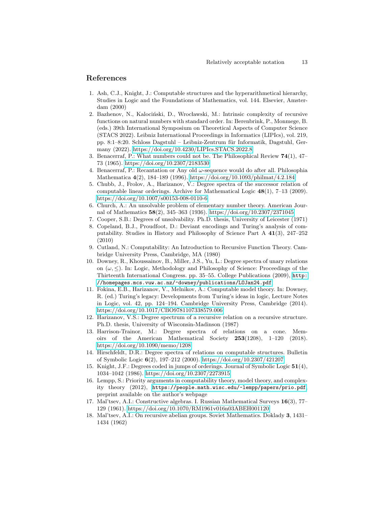## References

- <span id="page-12-2"></span>1. Ash, C.J., Knight, J.: Computable structures and the hyperarithmetical hierarchy, Studies in Logic and the Foundations of Mathematics, vol. 144. Elsevier, Amsterdam (2000)
- <span id="page-12-6"></span>2. Bazhenov, N., Kalociński, D., Wrocławski, M.: Intrinsic complexity of recursive functions on natural numbers with standard order. In: Berenbrink, P., Monmege, B. (eds.) 39th International Symposium on Theoretical Aspects of Computer Science (STACS 2022). Leibniz International Proceedings in Informatics (LIPIcs), vol. 219, pp. 8:1–8:20. Schloss Dagstuhl – Leibniz-Zentrum für Informatik, Dagstuhl, Germany (2022).<https://doi.org/10.4230/LIPIcs.STACS.2022.8>
- <span id="page-12-7"></span>3. Benacerraf, P.: What numbers could not be. The Philosophical Review 74(1), 47– 73 (1965).<https://doi.org/10.2307/2183530>
- <span id="page-12-8"></span>4. Benacerraf, P.: Recantation or Any old  $\omega$ -sequence would do after all. Philosophia Mathematica 4(2), 184–189 (1996).<https://doi.org/10.1093/philmat/4.2.184>
- <span id="page-12-5"></span>5. Chubb, J., Frolov, A., Harizanov, V.: Degree spectra of the successor relation of computable linear orderings. Archive for Mathematical Logic  $48(1)$ , 7–13 (2009). <https://doi.org/10.1007/s00153-008-0110-6>
- <span id="page-12-0"></span>6. Church, A.: An unsolvable problem of elementary number theory. American Journal of Mathematics 58(2), 345–363 (1936).<https://doi.org/10.2307/2371045>
- <span id="page-12-13"></span>7. Cooper, S.B.: Degrees of unsolvability. Ph.D. thesis, University of Leicester (1971)
- <span id="page-12-1"></span>8. Copeland, B.J., Proudfoot, D.: Deviant encodings and Turing's analysis of computability. Studies in History and Philosophy of Science Part A 41(3), 247–252 (2010)
- <span id="page-12-3"></span>9. Cutland, N.: Computability: An Introduction to Recursive Function Theory. Cambridge University Press, Cambridge, MA (1980)
- <span id="page-12-11"></span>10. Downey, R., Khoussainov, B., Miller, J.S., Yu, L.: Degree spectra of unary relations on  $(\omega, \le)$ . In: Logic, Methodology and Philosophy of Science: Proceedings of the Thirteenth International Congress. pp. 35–55. College Publications (2009), [http:](http://homepages.mcs.vuw.ac.nz/~downey/publications/LOJan24.pdf) [//homepages.mcs.vuw.ac.nz/~downey/publications/LOJan24.pdf](http://homepages.mcs.vuw.ac.nz/~downey/publications/LOJan24.pdf)
- <span id="page-12-10"></span>11. Fokina, E.B., Harizanov, V., Melnikov, A.: Computable model theory. In: Downey, R. (ed.) Turing's legacy: Developments from Turing's ideas in logic, Lecture Notes in Logic, vol. 42, pp. 124–194. Cambridge University Press, Cambridge (2014). <https://doi.org/10.1017/CBO9781107338579.006>
- <span id="page-12-4"></span>12. Harizanov, V.S.: Degree spectrum of a recursive relation on a recursive structure. Ph.D. thesis, University of Wisconsin-Madinson (1987)
- <span id="page-12-12"></span>13. Harrison-Trainor, M.: Degree spectra of relations on a cone. Memoirs of the American Mathematical Society 253(1208), 1–120 (2018). <https://doi.org/10.1090/memo/1208>
- <span id="page-12-9"></span>14. Hirschfeldt, D.R.: Degree spectra of relations on computable structures. Bulletin of Symbolic Logic 6(2), 197–212 (2000).<https://doi.org/10.2307/421207>
- <span id="page-12-15"></span>15. Knight, J.F.: Degrees coded in jumps of orderings. Journal of Symbolic Logic 51(4), 1034–1042 (1986).<https://doi.org/10.2307/2273915>
- <span id="page-12-14"></span>16. Lempp, S.: Priority arguments in computability theory, model theory, and complexity theory (2012), <https://people.math.wisc.edu/~lempp/papers/prio.pdf>, preprint available on the author's webpage
- <span id="page-12-16"></span>17. Mal'tsev, A.I.: Constructive algebras. I. Russian Mathematical Surveys 16(3), 77– 129 (1961).<https://doi.org/10.1070/RM1961v016n03ABEH001120>
- <span id="page-12-17"></span>18. Mal'tsev, A.I.: On recursive abelian groups. Soviet Mathematics. Doklady 3, 1431– 1434 (1962)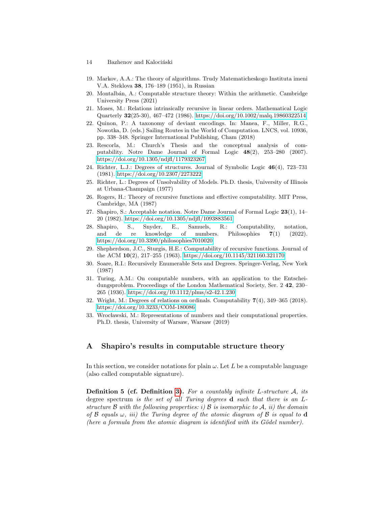- 14 Bazhenov and Kalociński
- <span id="page-13-2"></span>19. Markov, A.A.: The theory of algorithms. Trudy Matematicheskogo Instituta imeni V.A. Steklova 38, 176–189 (1951), in Russian
- <span id="page-13-8"></span>20. Montalb´an, A.: Computable structure theory: Within the arithmetic. Cambridge University Press (2021)
- <span id="page-13-14"></span>21. Moses, M.: Relations intrinsically recursive in linear orders. Mathematical Logic Quarterly 32(25-30), 467–472 (1986).<https://doi.org/10.1002/malq.19860322514>
- <span id="page-13-5"></span>22. Quinon, P.: A taxonomy of deviant encodings. In: Manea, F., Miller, R.G., Nowotka, D. (eds.) Sailing Routes in the World of Computation. LNCS, vol. 10936, pp. 338–348. Springer International Publishing, Cham (2018)
- <span id="page-13-4"></span>23. Rescorla, M.: Church's Thesis and the conceptual analysis of computability. Notre Dame Journal of Formal Logic 48(2), 253–280 (2007). <https://doi.org/10.1305/ndjfl/1179323267>
- <span id="page-13-11"></span>24. Richter, L.J.: Degrees of structures. Journal of Symbolic Logic 46(4), 723–731 (1981).<https://doi.org/10.2307/2273222>
- <span id="page-13-10"></span>25. Richter, L.: Degrees of Unsolvability of Models. Ph.D. thesis, University of Illinois at Urbana-Champaign (1977)
- <span id="page-13-12"></span>26. Rogers, H.: Theory of recursive functions and effective computability. MIT Press, Cambridge, MA (1987)
- <span id="page-13-0"></span>27. Shapiro, S.: Acceptable notation. Notre Dame Journal of Formal Logic 23(1), 14– 20 (1982).<https://doi.org/10.1305/ndjfl/1093883561>
- <span id="page-13-7"></span>28. Shapiro, S., Snyder, E., Samuels, R.: Computability, notation, and de re knowledge of numbers. Philosophies 7(1) (2022). <https://doi.org/10.3390/philosophies7010020>
- <span id="page-13-3"></span>29. Shepherdson, J.C., Sturgis, H.E.: Computability of recursive functions. Journal of the ACM 10(2), 217–255 (1963).<https://doi.org/10.1145/321160.321170>
- <span id="page-13-13"></span>30. Soare, R.I.: Recursively Enumerable Sets and Degrees. Springer-Verlag, New York (1987)
- <span id="page-13-1"></span>31. Turing, A.M.: On computable numbers, with an application to the Entscheidungsproblem. Proceedings of the London Mathematical Society, Ser. 2 42, 230– 265 (1936).<https://doi.org/10.1112/plms/s2-42.1.230>
- <span id="page-13-15"></span>32. Wright, M.: Degrees of relations on ordinals. Computability 7(4), 349–365 (2018). <https://doi.org/10.3233/COM-180086>
- <span id="page-13-6"></span>33. Wrocławski, M.: Representations of numbers and their computational properties. Ph.D. thesis, University of Warsaw, Warsaw (2019)

## <span id="page-13-9"></span>A Shapiro's results in computable structure theory

In this section, we consider notations for plain  $\omega$ . Let L be a computable language (also called computable signature).

**Definition 5 (cf. Definition [3\)](#page-3-0).** For a countably infinite L-structure  $\mathcal{A}$ , its degree spectrum is the set of all Turing degrees d such that there is an Lstructure B with the following properties: i) B is isomorphic to  $A$ , ii) the domain of  $\beta$  equals  $\omega$ , iii) the Turing degree of the atomic diagram of  $\beta$  is equal to d (here a formula from the atomic diagram is identified with its  $G\ddot{o}$  del number).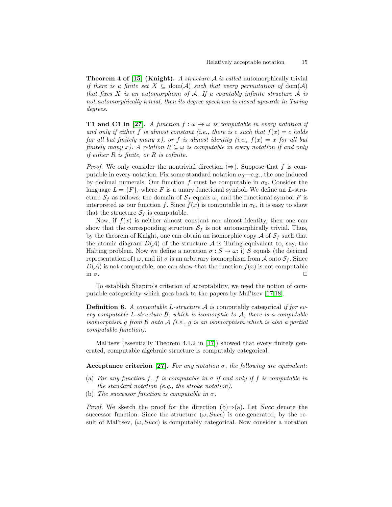**Theorem 4 of [\[15\]](#page-12-15) (Knight).** A structure  $\mathcal A$  is called automorphically trivial if there is a finite set  $X \subseteq \text{dom}(\mathcal{A})$  such that every permutation of  $\text{dom}(\mathcal{A})$ that fixes  $X$  is an automorphism of  $A$ . If a countably infinite structure  $A$  is not automorphically trivial, then its degree spectrum is closed upwards in Turing degrees.

**T1 and C1 in [\[27\]](#page-13-0).** A function  $f : \omega \to \omega$  is computable in every notation if and only if either f is almost constant (i.e., there is c such that  $f(x) = c$  holds for all but finitely many x), or f is almost identity (i.e.,  $f(x) = x$  for all but finitely many x). A relation  $R \subseteq \omega$  is computable in every notation if and only *if either R is finite, or R is cofinite.* 

*Proof.* We only consider the nontrivial direction  $(\Rightarrow)$ . Suppose that f is computable in every notation. Fix some standard notation  $\sigma_0$ —e.g., the one induced by decimal numerals. Our function f must be computable in  $\sigma_0$ . Consider the language  $L = \{F\}$ , where F is a unary functional symbol. We define an L-structure  $S_f$  as follows: the domain of  $S_f$  equals  $\omega$ , and the functional symbol F is interpreted as our function f. Since  $f(x)$  is computable in  $\sigma_0$ , it is easy to show that the structure  $S_f$  is computable.

Now, if  $f(x)$  is neither almost constant nor almost identity, then one can show that the corresponding structure  $S_f$  is not automorphically trivial. Thus, by the theorem of Knight, one can obtain an isomorphic copy  $A$  of  $S_f$  such that the atomic diagram  $D(\mathcal{A})$  of the structure  $\mathcal A$  is Turing equivalent to, say, the Halting problem. Now we define a notation  $\sigma : S \to \omega :$  i) S equals (the decimal representation of)  $\omega$ , and ii)  $\sigma$  is an arbitrary isomorphism from A onto  $S_f$ . Since  $D(\mathcal{A})$  is not computable, one can show that the function  $f(x)$  is not computable in  $\sigma$ .  $□$ 

To establish Shapiro's criterion of acceptability, we need the notion of computable categoricity which goes back to the papers by Mal'tsev [\[17](#page-12-16)[,18\]](#page-12-17).

**Definition 6.** A computable L-structure  $\mathcal A$  is computably categorical if for every computable L-structure  $\mathcal{B}$ , which is isomorphic to  $\mathcal{A}$ , there is a computable isomorphism g from  $\beta$  onto  $\mathcal{A}$  (i.e., g is an isomorphism which is also a partial computable function).

Mal'tsev (essentially Theorem 4.1.2 in [\[17\]](#page-12-16)) showed that every finitely generated, computable algebraic structure is computably categorical.

#### Acceptance criterion [\[27\]](#page-13-0). For any notation  $\sigma$ , the following are equivalent:

- (a) For any function f, f is computable in  $\sigma$  if and only if f is computable in the standard notation (e.g., the stroke notation).
- (b) The successor function is computable in  $\sigma$ .

*Proof.* We sketch the proof for the direction (b) $\Rightarrow$ (a). Let Succ denote the successor function. Since the structure  $(\omega, Succ)$  is one-generated, by the result of Mal'tsev,  $(\omega, Succ)$  is computably categorical. Now consider a notation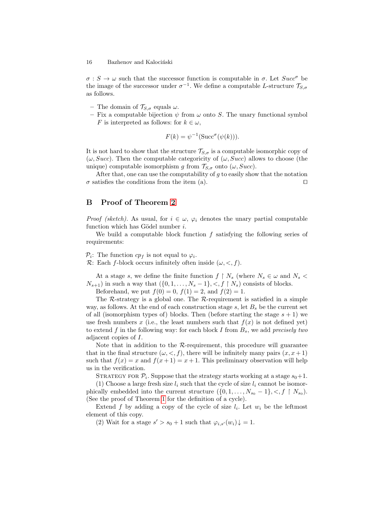$\sigma : S \to \omega$  such that the successor function is computable in  $\sigma$ . Let  $Succ^{\sigma}$  be the image of the successor under  $\sigma^{-1}$ . We define a computable L-structure  $\mathcal{T}_{S,\sigma}$ as follows.

- The domain of  $\mathcal{T}_{S,\sigma}$  equals  $\omega$ .
- Fix a computable bijection  $\psi$  from  $\omega$  onto S. The unary functional symbol F is interpreted as follows: for  $k \in \omega$ ,

$$
F(k) = \psi^{-1}(\text{Succ}^{\sigma}(\psi(k))).
$$

It is not hard to show that the structure  $\mathcal{T}_{S,\sigma}$  is a computable isomorphic copy of  $(\omega, Succ)$ . Then the computable categoricity of  $(\omega, Succ)$  allows to choose (the unique) computable isomorphism g from  $\mathcal{T}_{S,\sigma}$  onto  $(\omega, Succ)$ .

After that, one can use the computability of  $g$  to easily show that the notation  $\sigma$  satisfies the conditions from the item (a). □

## <span id="page-15-0"></span>B Proof of Theorem [2](#page-11-1)

*Proof (sketch)*. As usual, for  $i \in \omega$ ,  $\varphi_i$  denotes the unary partial computable function which has Gödel number  $i$ .

We build a computable block function  $f$  satisfying the following series of requirements:

 $\mathcal{P}_i$ : The function  $cp_f$  is not equal to  $\varphi_i$ .

R: Each f-block occurs infinitely often inside  $(\omega, <, f)$ .

At a stage s, we define the finite function  $f \restriction N_s$  (where  $N_s \in \omega$  and  $N_s <$  $N_{s+1}$ ) in such a way that  $({0, 1, \ldots, N_s-1}, <, f \upharpoonright N_s)$  consists of blocks.

Beforehand, we put  $f(0) = 0$ ,  $f(1) = 2$ , and  $f(2) = 1$ .

The  $\mathcal R$ -strategy is a global one. The  $\mathcal R$ -requirement is satisfied in a simple way, as follows. At the end of each construction stage  $s$ , let  $B_s$  be the current set of all (isomorphism types of) blocks. Then (before starting the stage  $s + 1$ ) we use fresh numbers x (i.e., the least numbers such that  $f(x)$  is not defined yet) to extend f in the following way: for each block I from  $B_s$ , we add precisely two adjacent copies of I.

Note that in addition to the  $R$ -requirement, this procedure will guarantee that in the final structure  $(\omega, \langle, f \rangle)$ , there will be infinitely many pairs  $(x, x+1)$ such that  $f(x) = x$  and  $f(x+1) = x+1$ . This preliminary observation will help us in the verification.

STRATEGY FOR  $P_i$ . Suppose that the strategy starts working at a stage  $s_0+1$ .

(1) Choose a large fresh size  $l_i$  such that the cycle of size  $l_i$  cannot be isomorphically embedded into the current structure  $({0, 1, \ldots, N_{s_0} - 1}, <, f \restriction N_{s_0})$ . (See the proof of Theorem [1](#page-6-0) for the definition of a cycle).

Extend f by adding a copy of the cycle of size  $l_i$ . Let  $w_i$  be the leftmost element of this copy.

(2) Wait for a stage  $s' > s_0 + 1$  such that  $\varphi_{i,s'}(w_i) \downarrow = 1$ .